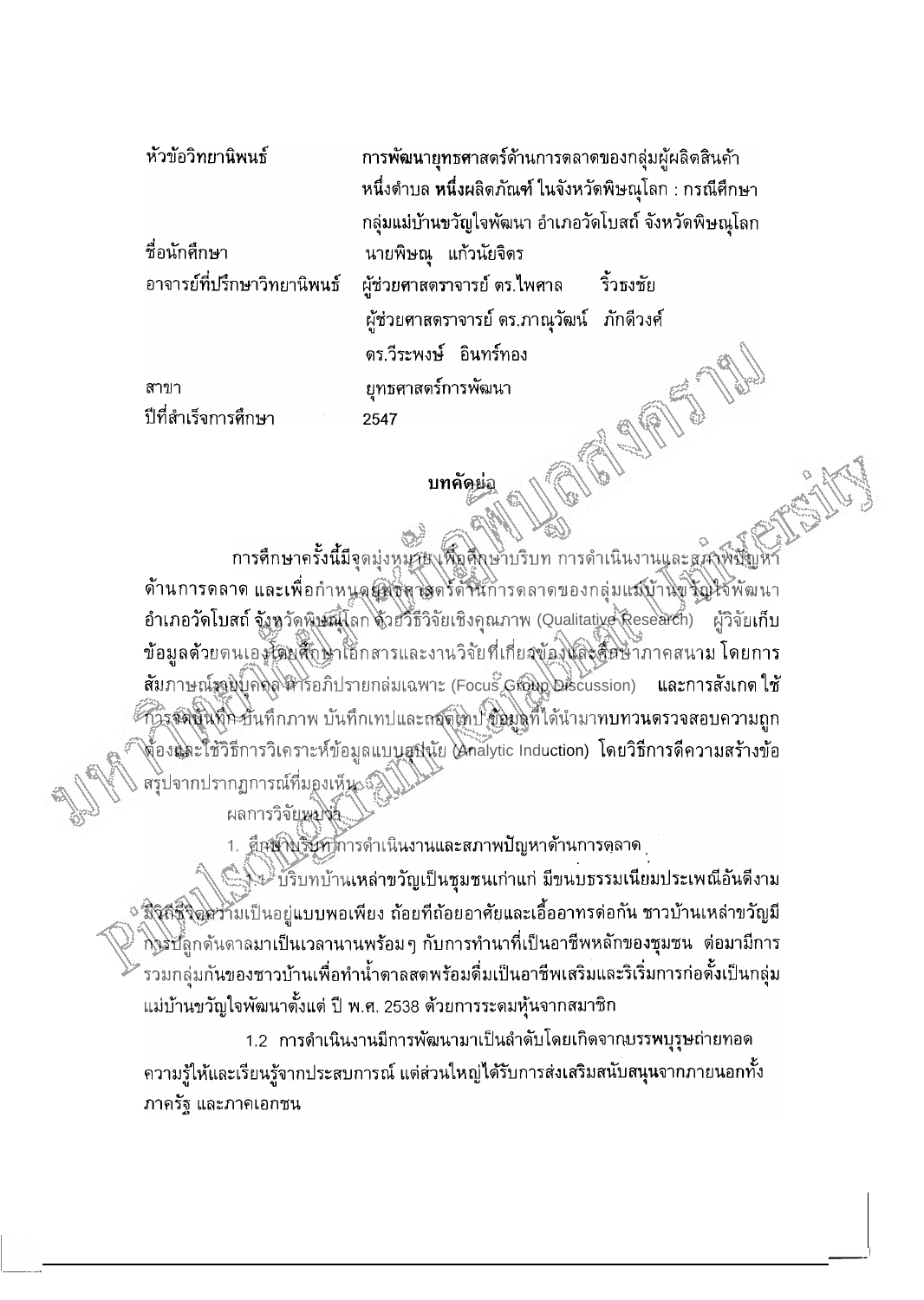หัวข้อวิทยานิพนธ์ การพัฒนายทธศาสตร์ด้านการดลาดของกลุ่มผู้ผลิตสินค้า หนึ่งตำบล **หนึ่งผลิตภัณฑ์ ในจังหวัดพิษณ**โลก : กรณีศึกษา กลุ่มแม่บ้านขวัญใจพัฒนา อำเภอวัดโบสถ์ จังหวัดพิษณโลก นายพิษณุ แก้วนัยจิตร ชื่อนักศึกษา อาจารย์ที่ปรึกษาวิทยานิพนธ์ ผู้ช่วยศาสตราจารย์ ดร.ไพศาล ริ้วธงชัย ผู้ช่วยศาสตราจารย์ ตร.ภาณุวัฒน์ ภักดีวงศ์ ดร.วีระพงษ์ อินทร์ทอง ยุทธศาสตร์การพัฒนา สาขา ปีที่สำเร็จการศึกษา 2547

## บทคัดย่อ

การศึกษาครั้งนี้มีจุดมุ่งหมุวย เพื่อศึกษาบริบท การดำเนินงานและสุสาพิษัญห ด้านการดลาด และเพื่อกำหนดผู้ที่ตัดวิลตร์ดัจนัการดลาดของกลุ่มแสบ้านขังญิใช้พัฒนา อำเภอวัดโบสถ์ จังหวัดพิษณ์โลก ด้วยวิธีวิจัยเชิงคุณภาพ (Qualitative Research) ผู้วิจัยเก็บ ข้อมูลด้วยตนเองรัตยุสึกษาเอ็กสารและงานวิจัยที่เกี่ยวข้องและสี่ยิษาภาคสนาม โดยการ สัมภาษณ์รอยบุคคล สิริยภิปรายกลุ่มเฉพาะ (Focus Group Discussion) และการสังเกต ใช้ ้กำรุจดขึ้นที่คะบื่นที่กภาพ บันทึกเทปและเจดเทป ข้อมูลที่ได้นำมาทบทวนตรวจสอบความถูก ∖จ้องผู่ละใช้วิธีการวิเคราะห์ข้อมูลแบบูเสปุนัย ∧ิกลไytic Induction) โดยวิธีการดีความสร้างข้อ สรุปจากปรากฏการณ์ที่มองเห็น ญี

1. คือเป็นรับทุการดำเนินงานและสภาพปัญหาด้านการตุลาด

ผลการวิจัย*น*มไห้

งไม่ บริบทบ้านเหล่าขวัญเป็นชุมชนเก่าแก่ มีขนบธรรมเนียมประเพณีอันดีงาม ง มิจิสึชีวิตส์ร้ามเป็นอยู่แบบพอเพียง ถ้อยที่ถ้อยอาศัยและเอื้ออาทรด่อกัน ชาวบ้านเหล่าขวัญมี กิ่งรับลูกต้นตาลมาเป็นเวลานานพร้อม ๆ กับการทำนาที่เป็นอาชีพหลักของชุมชน ต่อมามีการ ้รวมกลุ่มกันของชาวบ้านเพื่อทำน้ำตาลสดพร้อมดื่มเป็นอาชีพเสริมและริเริ่มการก่อตั้งเป็นกลุ่ม แม่บ้านขวัญใจพัฒนาตั้งแต่ ปี พ.ศ. 2538 ด้วยการระดมหุ้นจากสมาชิก

1.2 การดำเนินงานมีการพัฒนามาเป็นลำดับโดยเกิดจากบรรพบุรุษถ่ายทอด ความรู้ให้และเรียนรู้จากประสบการณ์ แต่ส่วนใหญ่ได้รับการส่งเสริมสนับสนุนจากภายนอกทั้ง ภาครัฐ และภาคเอกชน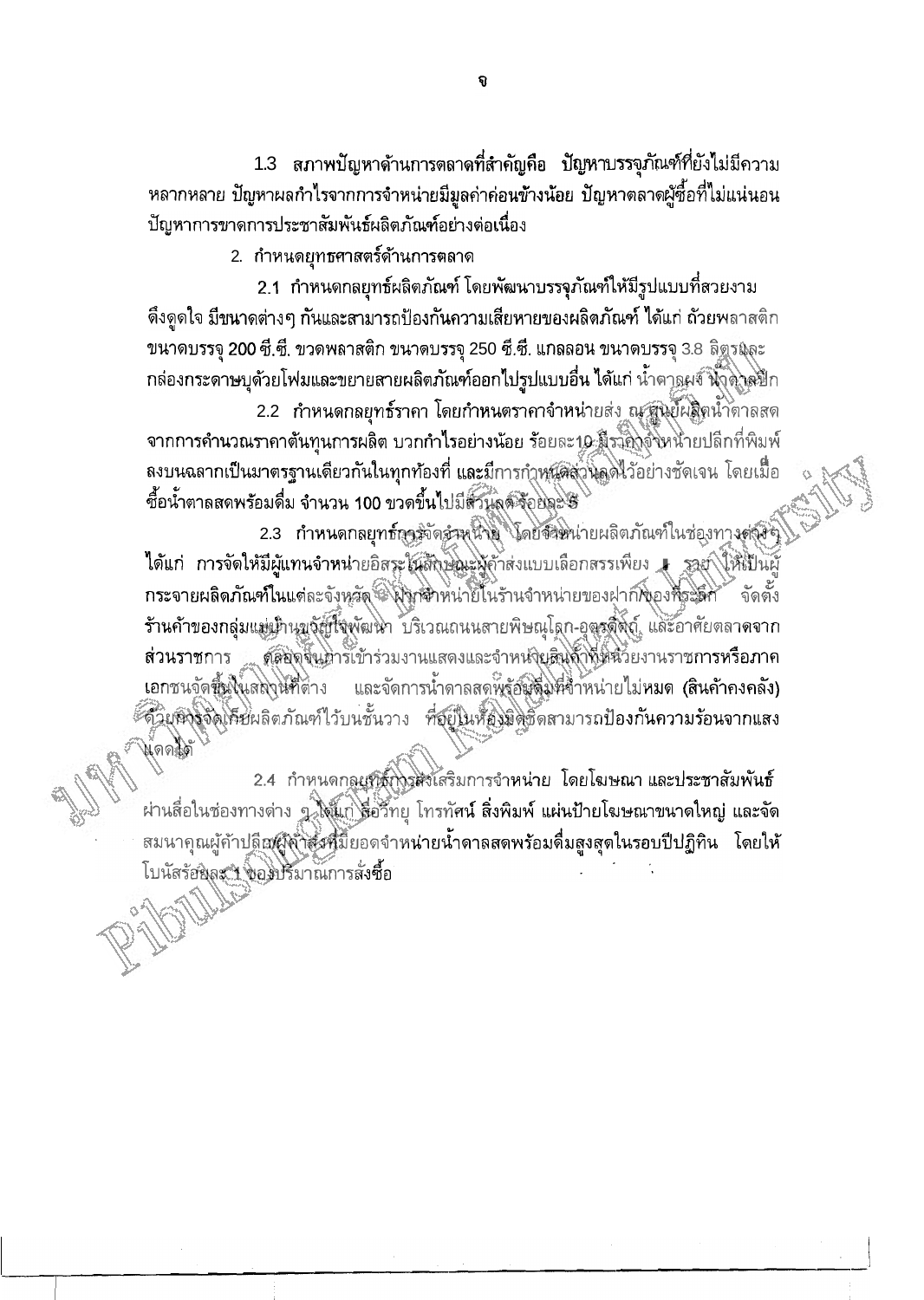1.3 สภาพปัญหาด้านการตลาดที่สำคัญคือ ปัญหาบรรจุภัณฑ์ที่ยังไม่มีความ หลากหลาย ปัญหาผลกำไรจากการจำหน่ายมีมูลค่าค่อนข้างน้อย ปัญหาตลาดผู้ซื้อที่ไม่แน่นอน ปัญหาการขาดการประชาสัมพันธ์ผลิตภัณฑ์อย่างต่อเนื่อง

2. กำหนดยุทธศาสตร์ด้านการตลาด

2.1 กำหนดกลยุทธ์ผลิตภัณฑ์ โดยพัฒนาบรรจุภัณฑ์ให้มีรูปแบบที่สวยงาม ้ดึงดูดใจ มีขนาดต่างๆ กันและสามารถป้องกันความเสียหายของผลิตภัณฑ์ ได้แก่ ถ้วยพลาสติก ขนาดบรรจุ 200 ซี.ซี. ขวดพลาสติก ขนาดบรรจุ 250 ซี.ซี. แกลลอน ขนาดบรรจุ 3.8 ธิฐรมุละ ึกล่องกระดาษบุด้วยโฟมและขยายสายผลิตภัณฑ์ออกไปรูปแบบอื่น ได้แก่ น้ำตา<u>ลผจ์ น้ำต่าล</u>ะไก

2.2 กำหนดกลยุทธ์ราคา โดยกำหนดราคาจำหน่ายส่ง ณ ศูนย์ผลิตน้ำตาลสด จากการคำนวณราคาต้นทุนการผลิต บวกกำไรอย่างน้อย ร้อยละ10 มีราคิโจ้งหน่ายปลีกที่พิมพ์ ลงบนฉลากเป็นมาตรฐานเดียวกันในทุกท้องที่ และมีการกำหนัดส่วนลดไว้อย่างชัดเจน โดยเมื่อ ซื้อน้ำตาลสดพร้อมดื่ม จำนวน 100 ขวดขึ้นไปมีสั่วนี้ลดรีอยุละ 5

2.3 กำหนดกลยุทธ์การจัดจำพนาย โดยจำหน่ายผลิตภัณฑ์ในช่องทางต่างจุ ได้แก่ การจัดให้มีผู้แทนจำหน่ายอิสระในสิกษ**ณะผู้**ค้าส่งแบบเลือกสรรเพียง **1** รอย์ ให้เป็นผู้ กระจายผลิตภัณฑ์ในแต่ละจังหวัด ไม่งาชาหน่ายี้ในร้านจำหน่ายของฝากที่ของที่ระดีกั จัดตั้ง ร้านค้าของกลุ่มแม่น้ำนุทูจัญี่ใจพัฒนา บริเวณถนนสายพิษณุโดก-อุตูรสิติถ์ และอาศัยตลาดจาก ด์คอดจินทาร์เข้าร่วมงานแสดงและจำหน่ายสินศ้าที่หน้วยงานราชการหรือภาค ส่วนราชการ เอกชนจัดขึ้นให้เสถอนที่ต่าง และจัดการน้ำดาลสดพรู้ฮัญสีมิหีจำหน่ายไม่หมด (สินค้าคงคลัง) ัดวิยุติงจัดเคียนลิตภัณฑ์ไว้บนชั้นวาง ที่อุยู่ในห้องพิดชัดสามารถป้องกันความร้อนจากแสง น์ดดได้

2.4 กำหนดกลุยที่สักงาศังเสริมการจำหน่าย โดยโฆษณา และประชาสัมพันธ์ ผ่านสื่อในช่องทางด่าง ๆ ใส้แก่ สื่อวิทยุ โทรทัศน์ สิ่งพิมพ์ แผ่นป้ายโฆษณาขนาดใหญ่ และจัด ี่สมนาคุณผู้ค้าป<u>ลี</u>ตศ์สู่สู้ที่วิธีหนึ่งปียอดจำหน่ายน้ำดาลสดพร้อมดื่มสูงสุดในรอบปีปฏิทิน โดยให้ โบนัสรัฮมูละ 1 ของปริมาณการสั่งซื้อ

a,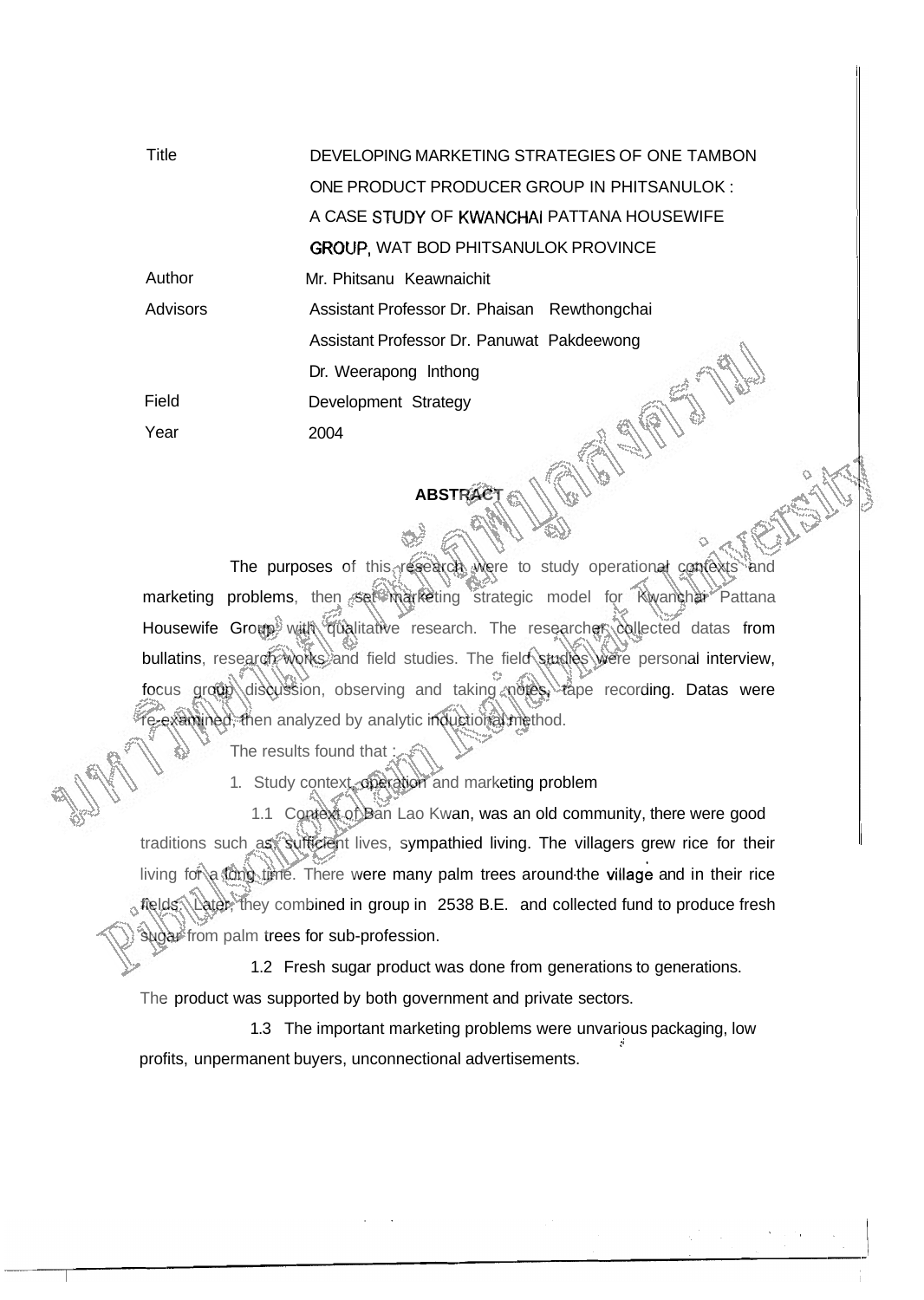| <b>Title</b>    | DEVELOPING MARKETING STRATEGIES OF ONE TAMBON |
|-----------------|-----------------------------------------------|
|                 | ONE PRODUCT PRODUCER GROUP IN PHITSANULOK:    |
|                 | A CASE STUDY OF KWANCHAI PATTANA HOUSEWIFE    |
|                 | <b>GROUP, WAT BOD PHITSANULOK PROVINCE</b>    |
| Author          | Mr. Phitsanu Keawnaichit                      |
| <b>Advisors</b> | Assistant Professor Dr. Phaisan Rewthongchai  |
|                 | Assistant Professor Dr. Panuwat Pakdeewong    |
|                 | Dr. Weerapong Inthong                         |
| Field           | Development Strategy                          |
| Year            | 2004                                          |

## **ABSTRACT**

The purposes of this research were to study operational contexts and marketing problems, then set marketing strategic model for Rwanchai Pattana Housewife Group with qualitative research. The researcher collected datas from bullatins, research works and field studies. The field studies were personal interview, focus group discussion, observing and taking notes, tape recording. Datas were e-examined, then analyzed by analytic inductional method.

The results found that  $\ddot{\phantom{a}}$ 

1. Study context, operation and marketing problem

1.1 Context of Ban Lao Kwan, was an old community, there were good traditions such as, sufficient lives, sympathied living. The villagers grew rice for their living for a long time. There were many palm trees around-the village and in their rice fields. Later, they combined in group in 2538 B.E. and collected fund to produce fresh sugar from palm trees for sub-profession.

1.2 Fresh sugar product was done from generations to generations.

The product was supported by both government and private sectors.

1.3 The important marketing problems were unvarious packaging, low profits, unpermanent buyers, unconnectional advertisements.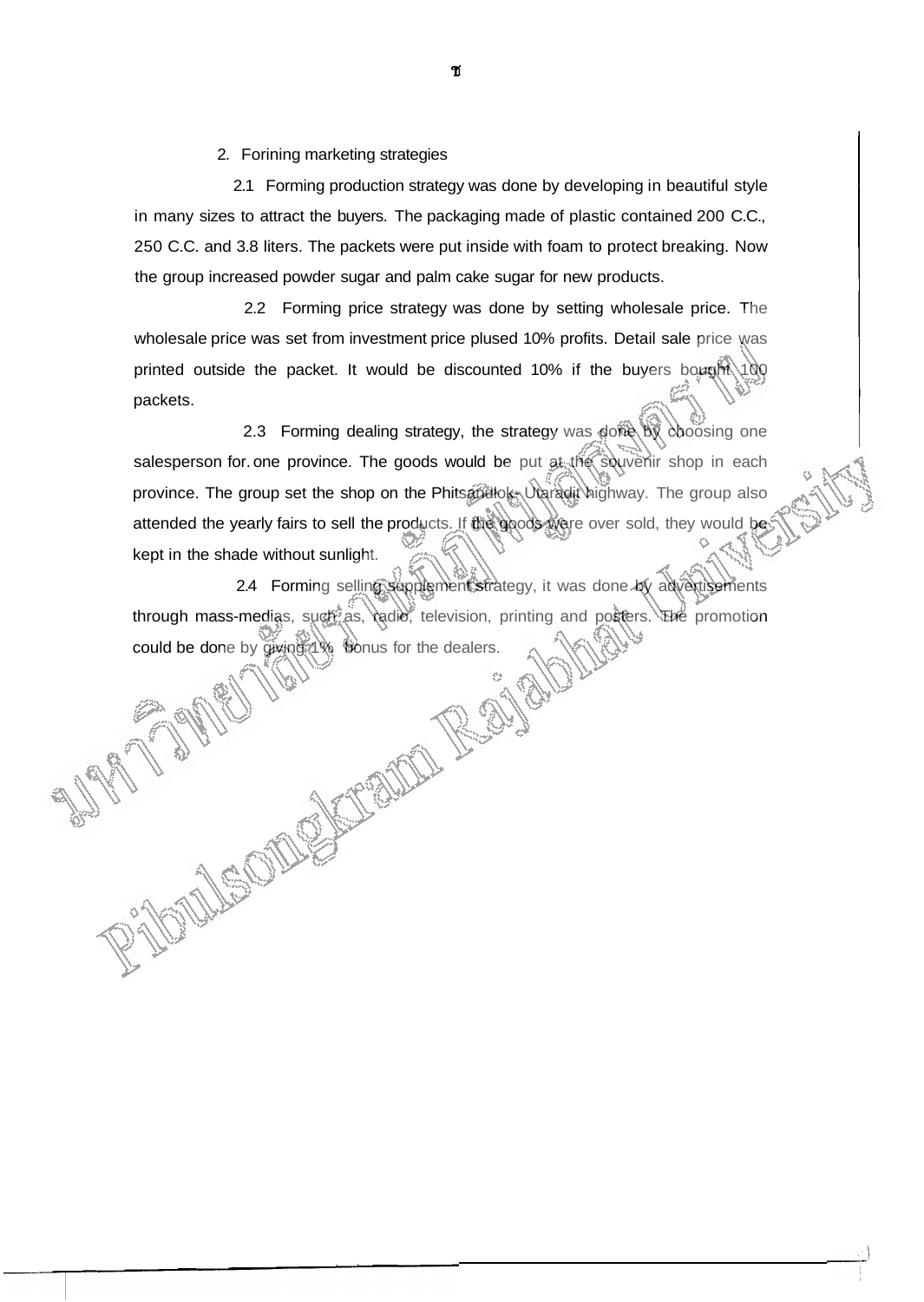2. Forining marketing strategies

2.1 Forming production strategy was done by developing in beautiful style in many sizes to attract the buyers. The packaging made of plastic contained 200 C.C., 250 C.C. and 3.8 liters. The packets were put inside with foam to protect breaking. Now the group increased powder sugar and palm cake sugar for new products.

2.2 Forming price strategy was done by setting wholesale price. The wholesale price was set from investment price plused 10% profits. Detail sale price was printed outside the packet. It would be discounted 10% if the buyers bought  $100$ packets.

2.3 Forming dealing strategy, the strategy was done by choosing one salesperson for one province. The goods would be put at the souvenir shop in each province. The group set the shop on the Phitsepellok- Utaradit highway. The group also attended the yearly fairs to sell the products. If the goods were over sold, they would be kept in the shade without sunlight.

2.4 Forming selling supplement strategy, it was done by advertisements through mass-medias, such as, radio, television, printing and posters. The promotion could be done by giving 1% bonus for the dealers.

PAUL !

MeOI

RAID

ช